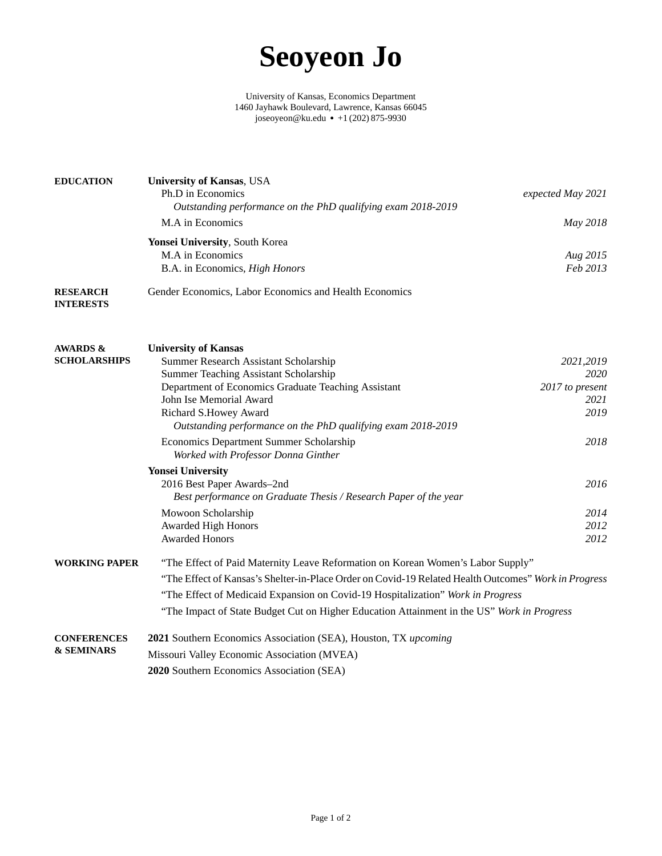## **Seoyeon Jo**

University of Kansas, Economics Department [1460 Jayhawk Boulevard, Lawrence, Kansas 66045](https://www.google.com/maps/place/1460+Jayhawk+Blvd,+Lawrence,+KS+66045/) [joseoyeon@ku.edu](mailto:joseoyeon@ku.edu) ● +1 (202) 875-9930

<span id="page-0-0"></span>

| <b>EDUCATION</b>                            | <b>University of Kansas</b> , USA<br>Ph.D in Economics<br>Outstanding performance on the PhD qualifying exam 2018-2019 | expected May 2021       |  |  |
|---------------------------------------------|------------------------------------------------------------------------------------------------------------------------|-------------------------|--|--|
|                                             | M.A in Economics                                                                                                       | May 2018                |  |  |
|                                             | Yonsei University, South Korea<br>M.A in Economics<br>B.A. in Economics, High Honors                                   | Aug 2015<br>Feb 2013    |  |  |
| <b>RESEARCH</b><br><b>INTERESTS</b>         | Gender Economics, Labor Economics and Health Economics                                                                 |                         |  |  |
| <b>AWARDS &amp;</b>                         | <b>University of Kansas</b>                                                                                            |                         |  |  |
| <b>SCHOLARSHIPS</b>                         | Summer Research Assistant Scholarship                                                                                  | 2021,2019               |  |  |
|                                             | Summer Teaching Assistant Scholarship                                                                                  | 2020                    |  |  |
|                                             | Department of Economics Graduate Teaching Assistant<br>John Ise Memorial Award                                         | 2017 to present<br>2021 |  |  |
|                                             | Richard S.Howey Award                                                                                                  | 2019                    |  |  |
|                                             | Outstanding performance on the PhD qualifying exam 2018-2019                                                           |                         |  |  |
|                                             | Economics Department Summer Scholarship<br>Worked with Professor Donna Ginther                                         | 2018                    |  |  |
|                                             | <b>Yonsei University</b>                                                                                               |                         |  |  |
|                                             | 2016 Best Paper Awards-2nd                                                                                             | 2016                    |  |  |
|                                             | Best performance on Graduate Thesis / Research Paper of the year                                                       |                         |  |  |
|                                             | Mowoon Scholarship                                                                                                     | 2014                    |  |  |
|                                             | Awarded High Honors                                                                                                    | 2012                    |  |  |
|                                             | <b>Awarded Honors</b>                                                                                                  | 2012                    |  |  |
| <b>WORKING PAPER</b>                        | "The Effect of Paid Maternity Leave Reformation on Korean Women's Labor Supply"                                        |                         |  |  |
|                                             | "The Effect of Kansas's Shelter-in-Place Order on Covid-19 Related Health Outcomes" Work in Progress                   |                         |  |  |
|                                             | "The Effect of Medicaid Expansion on Covid-19 Hospitalization" Work in Progress                                        |                         |  |  |
|                                             | "The Impact of State Budget Cut on Higher Education Attainment in the US" Work in Progress                             |                         |  |  |
| <b>CONFERENCES</b><br><b>&amp; SEMINARS</b> | 2021 Southern Economics Association (SEA), Houston, TX upcoming                                                        |                         |  |  |
|                                             | Missouri Valley Economic Association (MVEA)                                                                            |                         |  |  |
|                                             | 2020 Southern Economics Association (SEA)                                                                              |                         |  |  |